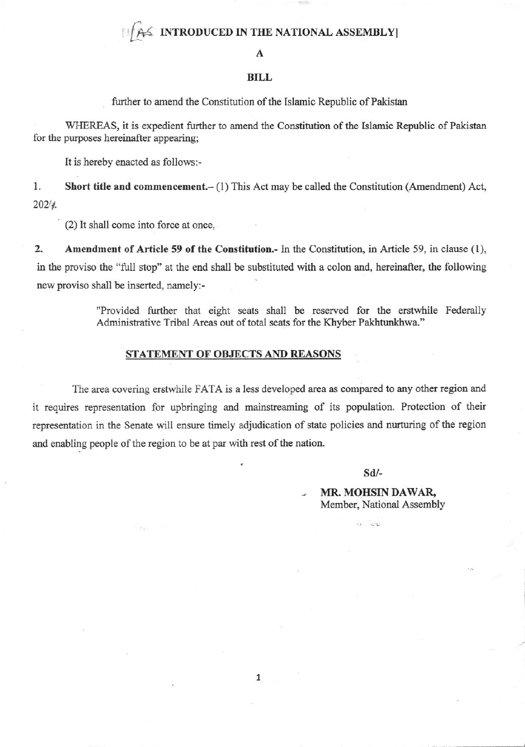## $\leq$  INTRODUCED IN THE NATIONAL ASSEMBLY

#### A

#### **BILL**

further to amend the Constitution of the Islamic Republic of Pakistan

WHEREAS, it is expedient further to amend the Constitution of the Islamic Republic of Pakistan for the purposes hereinafter appearing;

It is hereby enacted as follows:-

1. Short title and commencement.- (1) This Act may be called the Constitution (Amendment) Act,  $202/4.$ 

(2) It shall come into force at once.

 $2.$ Amendment of Article 59 of the Constitution.- In the Constitution, in Article 59, in clause (1), in the proviso the "full stop" at the end shall be substituted with a colon and, hereinafter, the following new proviso shall be inserted, namely:-

> "Provided further that eight seats shall be reserved for the erstwhile Federally Administrative Tribal Areas out of total seats for the Khyber Pakhtunkhwa."

### STATEMENT OF OBJECTS AND REASONS

The area covering erstwhile FATA is a less developed area as compared to any other region and it requires representation for upbringing and mainstreaming of its population. Protection of their representation in the Senate will ensure timely adjudication of state policies and nurturing of the region and enabling people of the region to be at par with rest of the nation.

 $Sd$ 

MR. MOHSIN DAWAR, Member, National Assembly

 $\mathbf{1}$